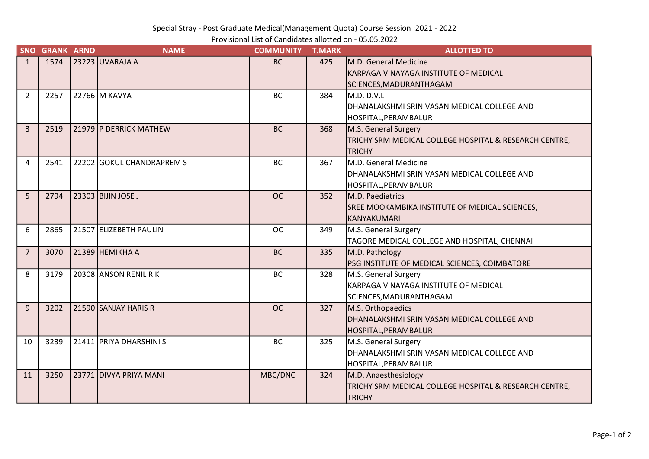Special Stray - Post Graduate Medical(Management Quota) Course Session :2021 - 2022

| Provisional List of Candidates allotted on - 05.05.2022 |
|---------------------------------------------------------|
|---------------------------------------------------------|

| <b>SNO</b>     | <b>GRANK ARNO</b> | <b>NAME</b>               | <b>COMMUNITY</b> | <b>T.MARK</b> | <b>ALLOTTED TO</b>                                     |
|----------------|-------------------|---------------------------|------------------|---------------|--------------------------------------------------------|
| $\mathbf{1}$   | 1574              | 23223 UVARAJA A           | <b>BC</b>        | 425           | M.D. General Medicine                                  |
|                |                   |                           |                  |               | KARPAGA VINAYAGA INSTITUTE OF MEDICAL                  |
|                |                   |                           |                  |               | SCIENCES, MADURANTHAGAM                                |
| 2              | 2257              | 22766 M KAVYA             | <b>BC</b>        | 384           | M.D. D.V.L                                             |
|                |                   |                           |                  |               | DHANALAKSHMI SRINIVASAN MEDICAL COLLEGE AND            |
|                |                   |                           |                  |               | HOSPITAL,PERAMBALUR                                    |
| $\overline{3}$ | 2519              | 21979   P DERRICK MATHEW  | <b>BC</b>        | 368           | M.S. General Surgery                                   |
|                |                   |                           |                  |               | TRICHY SRM MEDICAL COLLEGE HOSPITAL & RESEARCH CENTRE, |
|                |                   |                           |                  |               | <b>TRICHY</b>                                          |
| 4              | 2541              | 22202 GOKUL CHANDRAPREM S | <b>BC</b>        | 367           | M.D. General Medicine                                  |
|                |                   |                           |                  |               | DHANALAKSHMI SRINIVASAN MEDICAL COLLEGE AND            |
|                |                   |                           |                  |               | HOSPITAL,PERAMBALUR                                    |
| 5              | 2794              | 23303 BIJIN JOSE J        | <b>OC</b>        | 352           | M.D. Paediatrics                                       |
|                |                   |                           |                  |               | SREE MOOKAMBIKA INSTITUTE OF MEDICAL SCIENCES,         |
|                |                   |                           |                  |               | İKANYAKUMARI                                           |
| 6              | 2865              | 21507 ELIZEBETH PAULIN    | <b>OC</b>        | 349           | M.S. General Surgery                                   |
|                |                   |                           |                  |               | TAGORE MEDICAL COLLEGE AND HOSPITAL, CHENNAI           |
| $\overline{7}$ | 3070              | $21389$ HEMIKHA A         | <b>BC</b>        | 335           | M.D. Pathology                                         |
|                |                   |                           |                  |               | PSG INSTITUTE OF MEDICAL SCIENCES, COIMBATORE          |
| 8              | 3179              | 20308 ANSON RENIL RK      | <b>BC</b>        | 328           | M.S. General Surgery                                   |
|                |                   |                           |                  |               | İKARPAGA VINAYAGA INSTITUTE OF MEDICAL                 |
|                |                   |                           |                  |               | SCIENCES, MADURANTHAGAM                                |
| 9              | 3202              | 21590 SANJAY HARIS R      | <b>OC</b>        | 327           | M.S. Orthopaedics                                      |
|                |                   |                           |                  |               | DHANALAKSHMI SRINIVASAN MEDICAL COLLEGE AND            |
|                |                   |                           |                  |               | HOSPITAL,PERAMBALUR                                    |
| 10             | 3239              | 21411 PRIYA DHARSHINI S   | <b>BC</b>        | 325           | M.S. General Surgery                                   |
|                |                   |                           |                  |               | DHANALAKSHMI SRINIVASAN MEDICAL COLLEGE AND            |
|                |                   |                           |                  |               | HOSPITAL,PERAMBALUR                                    |
| 11             | 3250              | 23771 DIVYA PRIYA MANI    | MBC/DNC          | 324           | M.D. Anaesthesiology                                   |
|                |                   |                           |                  |               | TRICHY SRM MEDICAL COLLEGE HOSPITAL & RESEARCH CENTRE, |
|                |                   |                           |                  |               | <b>TRICHY</b>                                          |